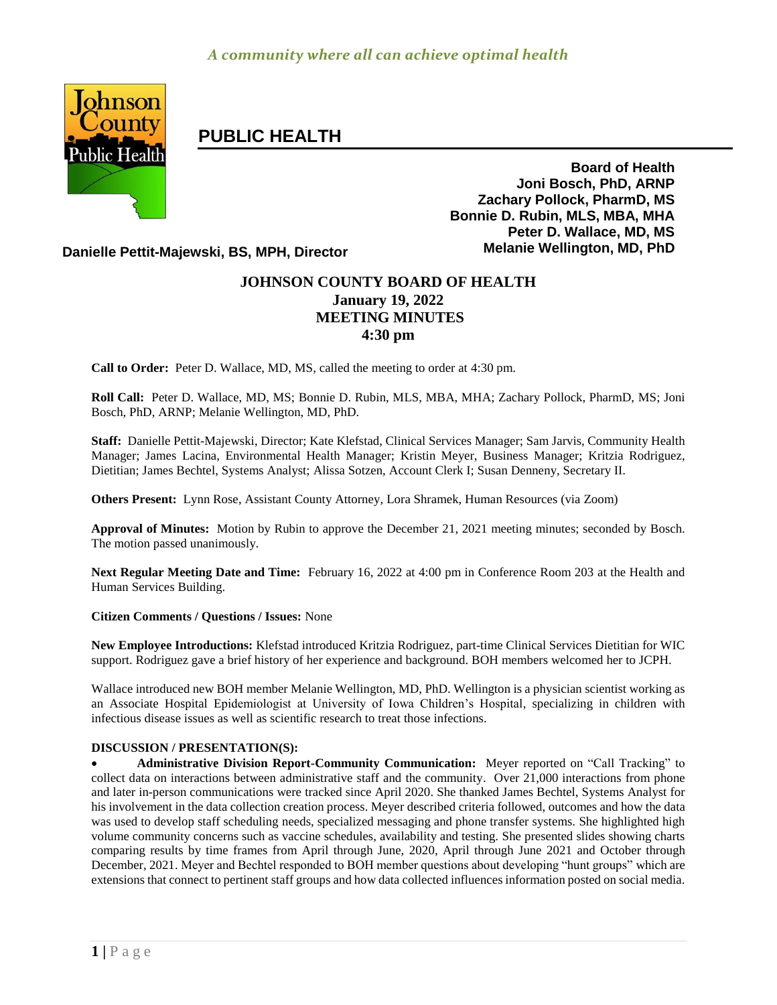

# **PUBLIC HEALTH**

**Board of Health Joni Bosch, PhD, ARNP Zachary Pollock, PharmD, MS Bonnie D. Rubin, MLS, MBA, MHA Peter D. Wallace, MD, MS**

**Danielle Pettit-Majewski, BS, MPH, Director Melanie Wellington, MD, PhD**

## **JOHNSON COUNTY BOARD OF HEALTH January 19, 2022 MEETING MINUTES 4:30 pm**

**Call to Order:** Peter D. Wallace, MD, MS, called the meeting to order at 4:30 pm.

**Roll Call:** Peter D. Wallace, MD, MS; Bonnie D. Rubin, MLS, MBA, MHA; Zachary Pollock, PharmD, MS; Joni Bosch, PhD, ARNP; Melanie Wellington, MD, PhD.

**Staff:** Danielle Pettit-Majewski, Director; Kate Klefstad, Clinical Services Manager; Sam Jarvis, Community Health Manager; James Lacina, Environmental Health Manager; Kristin Meyer, Business Manager; Kritzia Rodriguez, Dietitian; James Bechtel, Systems Analyst; Alissa Sotzen, Account Clerk I; Susan Denneny, Secretary II.

**Others Present:** Lynn Rose, Assistant County Attorney, Lora Shramek, Human Resources (via Zoom)

**Approval of Minutes:** Motion by Rubin to approve the December 21, 2021 meeting minutes; seconded by Bosch. The motion passed unanimously.

**Next Regular Meeting Date and Time:** February 16, 2022 at 4:00 pm in Conference Room 203 at the Health and Human Services Building.

#### **Citizen Comments / Questions / Issues:** None

**New Employee Introductions:** Klefstad introduced Kritzia Rodriguez, part-time Clinical Services Dietitian for WIC support. Rodriguez gave a brief history of her experience and background. BOH members welcomed her to JCPH.

Wallace introduced new BOH member Melanie Wellington, MD, PhD. Wellington is a physician scientist working as an Associate Hospital Epidemiologist at University of Iowa Children's Hospital, specializing in children with infectious disease issues as well as scientific research to treat those infections.

#### **DISCUSSION / PRESENTATION(S):**

 **Administrative Division Report-Community Communication:** Meyer reported on "Call Tracking" to collect data on interactions between administrative staff and the community. Over 21,000 interactions from phone and later in-person communications were tracked since April 2020. She thanked James Bechtel, Systems Analyst for his involvement in the data collection creation process. Meyer described criteria followed, outcomes and how the data was used to develop staff scheduling needs, specialized messaging and phone transfer systems. She highlighted high volume community concerns such as vaccine schedules, availability and testing. She presented slides showing charts comparing results by time frames from April through June, 2020, April through June 2021 and October through December, 2021. Meyer and Bechtel responded to BOH member questions about developing "hunt groups" which are extensions that connect to pertinent staff groups and how data collected influences information posted on social media.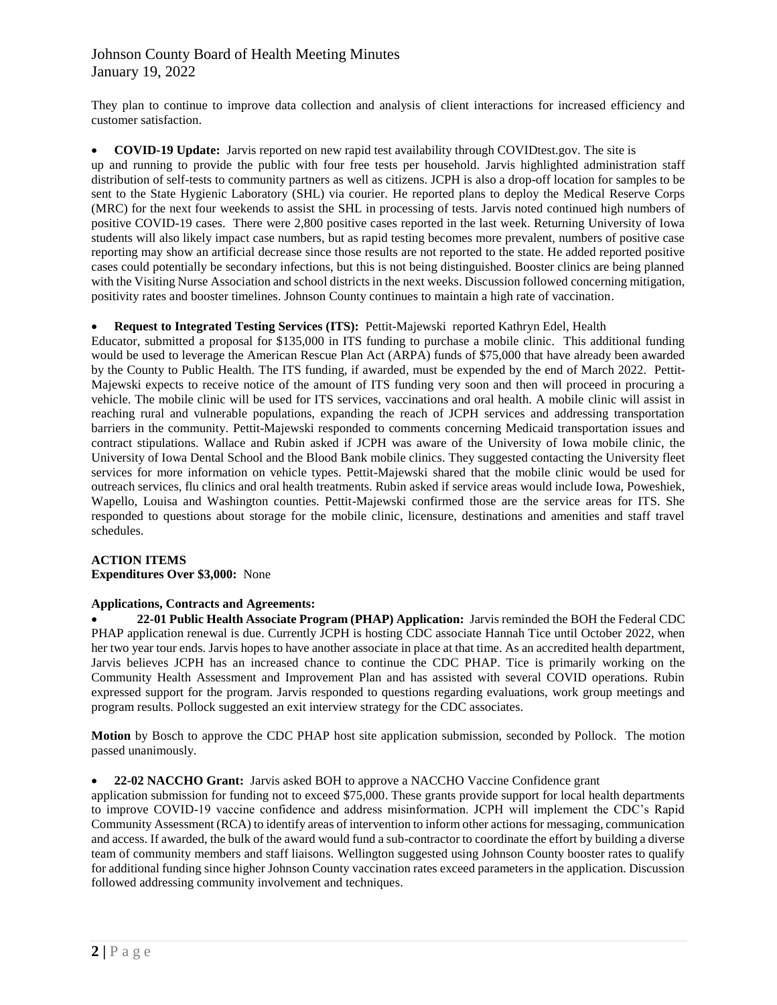## Johnson County Board of Health Meeting Minutes January 19, 2022

They plan to continue to improve data collection and analysis of client interactions for increased efficiency and customer satisfaction.

#### **COVID-19 Update:** Jarvis reported on new rapid test availability through COVIDtest.gov. The site is

up and running to provide the public with four free tests per household. Jarvis highlighted administration staff distribution of self-tests to community partners as well as citizens. JCPH is also a drop-off location for samples to be sent to the State Hygienic Laboratory (SHL) via courier. He reported plans to deploy the Medical Reserve Corps (MRC) for the next four weekends to assist the SHL in processing of tests. Jarvis noted continued high numbers of positive COVID-19 cases. There were 2,800 positive cases reported in the last week. Returning University of Iowa students will also likely impact case numbers, but as rapid testing becomes more prevalent, numbers of positive case reporting may show an artificial decrease since those results are not reported to the state. He added reported positive cases could potentially be secondary infections, but this is not being distinguished. Booster clinics are being planned with the Visiting Nurse Association and school districts in the next weeks. Discussion followed concerning mitigation, positivity rates and booster timelines. Johnson County continues to maintain a high rate of vaccination.

#### **Request to Integrated Testing Services (ITS):** Pettit-Majewski reported Kathryn Edel, Health

Educator, submitted a proposal for \$135,000 in ITS funding to purchase a mobile clinic. This additional funding would be used to leverage the American Rescue Plan Act (ARPA) funds of \$75,000 that have already been awarded by the County to Public Health. The ITS funding, if awarded, must be expended by the end of March 2022. Pettit-Majewski expects to receive notice of the amount of ITS funding very soon and then will proceed in procuring a vehicle. The mobile clinic will be used for ITS services, vaccinations and oral health. A mobile clinic will assist in reaching rural and vulnerable populations, expanding the reach of JCPH services and addressing transportation barriers in the community. Pettit-Majewski responded to comments concerning Medicaid transportation issues and contract stipulations. Wallace and Rubin asked if JCPH was aware of the University of Iowa mobile clinic, the University of Iowa Dental School and the Blood Bank mobile clinics. They suggested contacting the University fleet services for more information on vehicle types. Pettit-Majewski shared that the mobile clinic would be used for outreach services, flu clinics and oral health treatments. Rubin asked if service areas would include Iowa, Poweshiek, Wapello, Louisa and Washington counties. Pettit-Majewski confirmed those are the service areas for ITS. She responded to questions about storage for the mobile clinic, licensure, destinations and amenities and staff travel schedules.

#### **ACTION ITEMS Expenditures Over \$3,000:** None

#### **Applications, Contracts and Agreements:**

 **22-01 Public Health Associate Program (PHAP) Application:** Jarvis reminded the BOH the Federal CDC PHAP application renewal is due. Currently JCPH is hosting CDC associate Hannah Tice until October 2022, when her two year tour ends. Jarvis hopes to have another associate in place at that time. As an accredited health department, Jarvis believes JCPH has an increased chance to continue the CDC PHAP. Tice is primarily working on the Community Health Assessment and Improvement Plan and has assisted with several COVID operations. Rubin expressed support for the program. Jarvis responded to questions regarding evaluations, work group meetings and program results. Pollock suggested an exit interview strategy for the CDC associates.

**Motion** by Bosch to approve the CDC PHAP host site application submission, seconded by Pollock. The motion passed unanimously.

#### **22-02 NACCHO Grant:** Jarvis asked BOH to approve a NACCHO Vaccine Confidence grant

application submission for funding not to exceed \$75,000. These grants provide support for local health departments to improve COVID-19 vaccine confidence and address misinformation. JCPH will implement the CDC's Rapid Community Assessment (RCA) to identify areas of intervention to inform other actions for messaging, communication and access. If awarded, the bulk of the award would fund a sub-contractor to coordinate the effort by building a diverse team of community members and staff liaisons. Wellington suggested using Johnson County booster rates to qualify for additional funding since higher Johnson County vaccination rates exceed parameters in the application. Discussion followed addressing community involvement and techniques.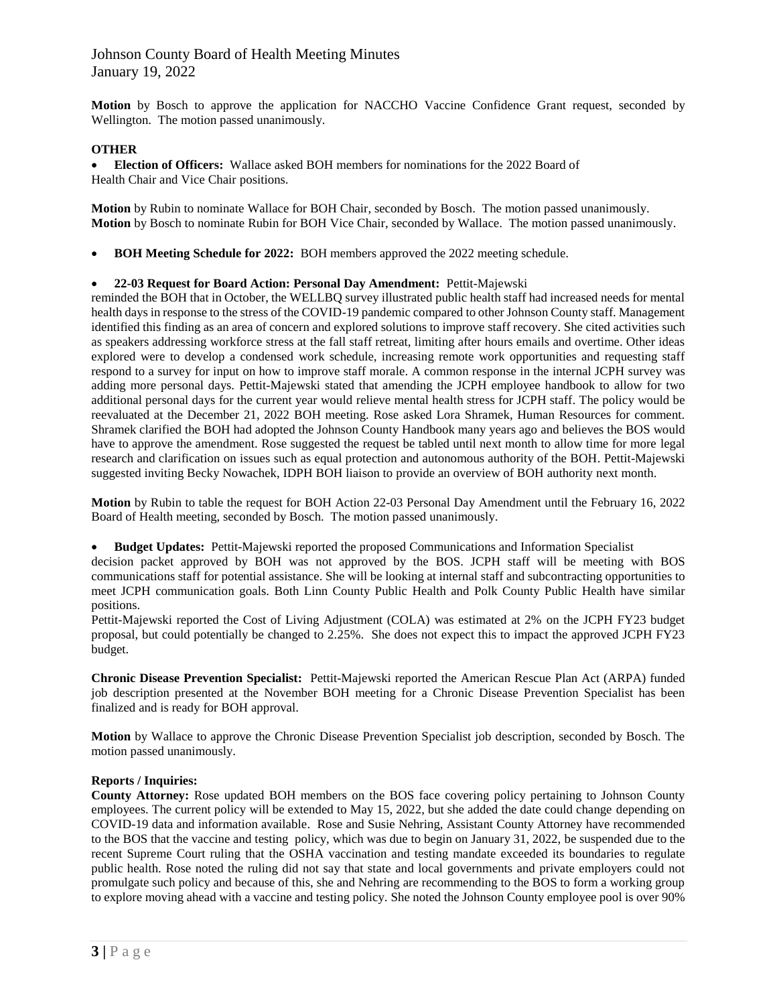## Johnson County Board of Health Meeting Minutes January 19, 2022

**Motion** by Bosch to approve the application for NACCHO Vaccine Confidence Grant request, seconded by Wellington. The motion passed unanimously.

### **OTHER**

 **Election of Officers:** Wallace asked BOH members for nominations for the 2022 Board of Health Chair and Vice Chair positions.

**Motion** by Rubin to nominate Wallace for BOH Chair, seconded by Bosch. The motion passed unanimously. **Motion** by Bosch to nominate Rubin for BOH Vice Chair, seconded by Wallace. The motion passed unanimously.

**BOH Meeting Schedule for 2022:** BOH members approved the 2022 meeting schedule.

#### **22-03 Request for Board Action: Personal Day Amendment:** Pettit-Majewski

reminded the BOH that in October, the WELLBQ survey illustrated public health staff had increased needs for mental health days in response to the stress of the COVID-19 pandemic compared to other Johnson County staff. Management identified this finding as an area of concern and explored solutions to improve staff recovery. She cited activities such as speakers addressing workforce stress at the fall staff retreat, limiting after hours emails and overtime. Other ideas explored were to develop a condensed work schedule, increasing remote work opportunities and requesting staff respond to a survey for input on how to improve staff morale. A common response in the internal JCPH survey was adding more personal days. Pettit-Majewski stated that amending the JCPH employee handbook to allow for two additional personal days for the current year would relieve mental health stress for JCPH staff. The policy would be reevaluated at the December 21, 2022 BOH meeting. Rose asked Lora Shramek, Human Resources for comment. Shramek clarified the BOH had adopted the Johnson County Handbook many years ago and believes the BOS would have to approve the amendment. Rose suggested the request be tabled until next month to allow time for more legal research and clarification on issues such as equal protection and autonomous authority of the BOH. Pettit-Majewski suggested inviting Becky Nowachek, IDPH BOH liaison to provide an overview of BOH authority next month.

**Motion** by Rubin to table the request for BOH Action 22-03 Personal Day Amendment until the February 16, 2022 Board of Health meeting, seconded by Bosch. The motion passed unanimously.

**Budget Updates:** Pettit-Majewski reported the proposed Communications and Information Specialist

decision packet approved by BOH was not approved by the BOS. JCPH staff will be meeting with BOS communications staff for potential assistance. She will be looking at internal staff and subcontracting opportunities to meet JCPH communication goals. Both Linn County Public Health and Polk County Public Health have similar positions.

Pettit-Majewski reported the Cost of Living Adjustment (COLA) was estimated at 2% on the JCPH FY23 budget proposal, but could potentially be changed to 2.25%. She does not expect this to impact the approved JCPH FY23 budget.

**Chronic Disease Prevention Specialist:** Pettit-Majewski reported the American Rescue Plan Act (ARPA) funded job description presented at the November BOH meeting for a Chronic Disease Prevention Specialist has been finalized and is ready for BOH approval.

**Motion** by Wallace to approve the Chronic Disease Prevention Specialist job description, seconded by Bosch. The motion passed unanimously.

#### **Reports / Inquiries:**

**County Attorney:** Rose updated BOH members on the BOS face covering policy pertaining to Johnson County employees. The current policy will be extended to May 15, 2022, but she added the date could change depending on COVID-19 data and information available. Rose and Susie Nehring, Assistant County Attorney have recommended to the BOS that the vaccine and testing policy, which was due to begin on January 31, 2022, be suspended due to the recent Supreme Court ruling that the OSHA vaccination and testing mandate exceeded its boundaries to regulate public health. Rose noted the ruling did not say that state and local governments and private employers could not promulgate such policy and because of this, she and Nehring are recommending to the BOS to form a working group to explore moving ahead with a vaccine and testing policy. She noted the Johnson County employee pool is over 90%